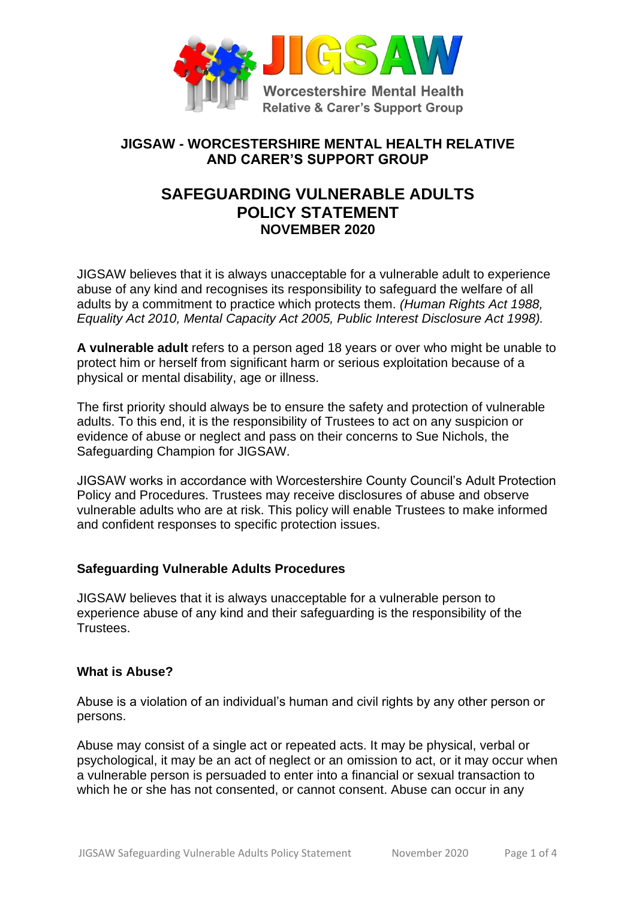

## **JIGSAW - WORCESTERSHIRE MENTAL HEALTH RELATIVE AND CARER'S SUPPORT GROUP**

# **SAFEGUARDING VULNERABLE ADULTS POLICY STATEMENT NOVEMBER 2020**

JIGSAW believes that it is always unacceptable for a vulnerable adult to experience abuse of any kind and recognises its responsibility to safeguard the welfare of all adults by a commitment to practice which protects them. *(Human Rights Act 1988, Equality Act 2010, Mental Capacity Act 2005, Public Interest Disclosure Act 1998).*

**A vulnerable adult** refers to a person aged 18 years or over who might be unable to protect him or herself from significant harm or serious exploitation because of a physical or mental disability, age or illness.

The first priority should always be to ensure the safety and protection of vulnerable adults. To this end, it is the responsibility of Trustees to act on any suspicion or evidence of abuse or neglect and pass on their concerns to Sue Nichols, the Safeguarding Champion for JIGSAW.

JIGSAW works in accordance with Worcestershire County Council's Adult Protection Policy and Procedures. Trustees may receive disclosures of abuse and observe vulnerable adults who are at risk. This policy will enable Trustees to make informed and confident responses to specific protection issues.

### **Safeguarding Vulnerable Adults Procedures**

JIGSAW believes that it is always unacceptable for a vulnerable person to experience abuse of any kind and their safeguarding is the responsibility of the Trustees.

#### **What is Abuse?**

Abuse is a violation of an individual's human and civil rights by any other person or persons.

Abuse may consist of a single act or repeated acts. It may be physical, verbal or psychological, it may be an act of neglect or an omission to act, or it may occur when a vulnerable person is persuaded to enter into a financial or sexual transaction to which he or she has not consented, or cannot consent. Abuse can occur in any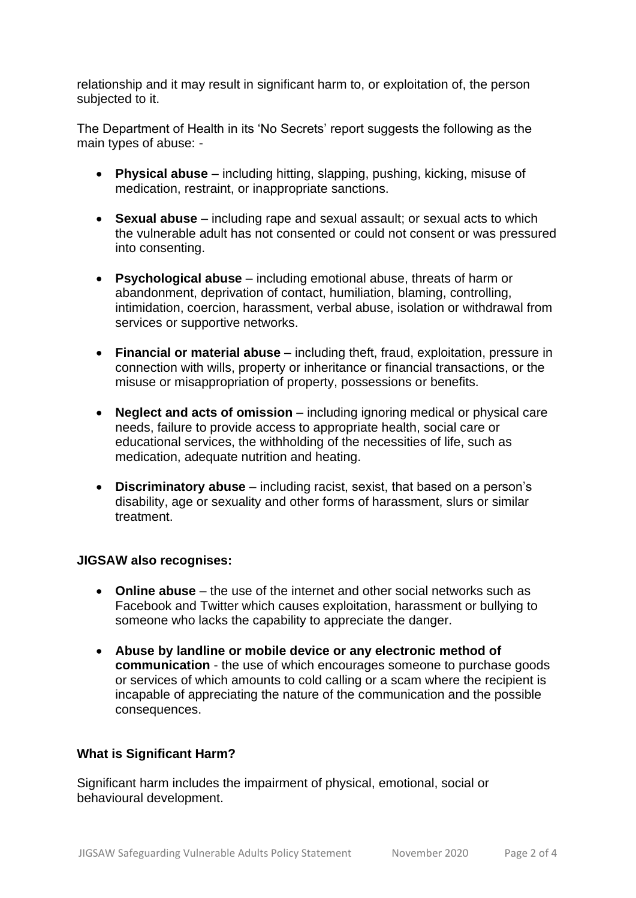relationship and it may result in significant harm to, or exploitation of, the person subjected to it.

The Department of Health in its 'No Secrets' report suggests the following as the main types of abuse: -

- **Physical abuse**  including hitting, slapping, pushing, kicking, misuse of medication, restraint, or inappropriate sanctions.
- **Sexual abuse** including rape and sexual assault; or sexual acts to which the vulnerable adult has not consented or could not consent or was pressured into consenting.
- **Psychological abuse** including emotional abuse, threats of harm or abandonment, deprivation of contact, humiliation, blaming, controlling, intimidation, coercion, harassment, verbal abuse, isolation or withdrawal from services or supportive networks.
- **Financial or material abuse** including theft, fraud, exploitation, pressure in connection with wills, property or inheritance or financial transactions, or the misuse or misappropriation of property, possessions or benefits.
- **Neglect and acts of omission** including ignoring medical or physical care needs, failure to provide access to appropriate health, social care or educational services, the withholding of the necessities of life, such as medication, adequate nutrition and heating.
- **Discriminatory abuse** including racist, sexist, that based on a person's disability, age or sexuality and other forms of harassment, slurs or similar treatment.

#### **JIGSAW also recognises:**

- **Online abuse** the use of the internet and other social networks such as Facebook and Twitter which causes exploitation, harassment or bullying to someone who lacks the capability to appreciate the danger.
- **Abuse by landline or mobile device or any electronic method of communication** - the use of which encourages someone to purchase goods or services of which amounts to cold calling or a scam where the recipient is incapable of appreciating the nature of the communication and the possible consequences.

### **What is Significant Harm?**

Significant harm includes the impairment of physical, emotional, social or behavioural development.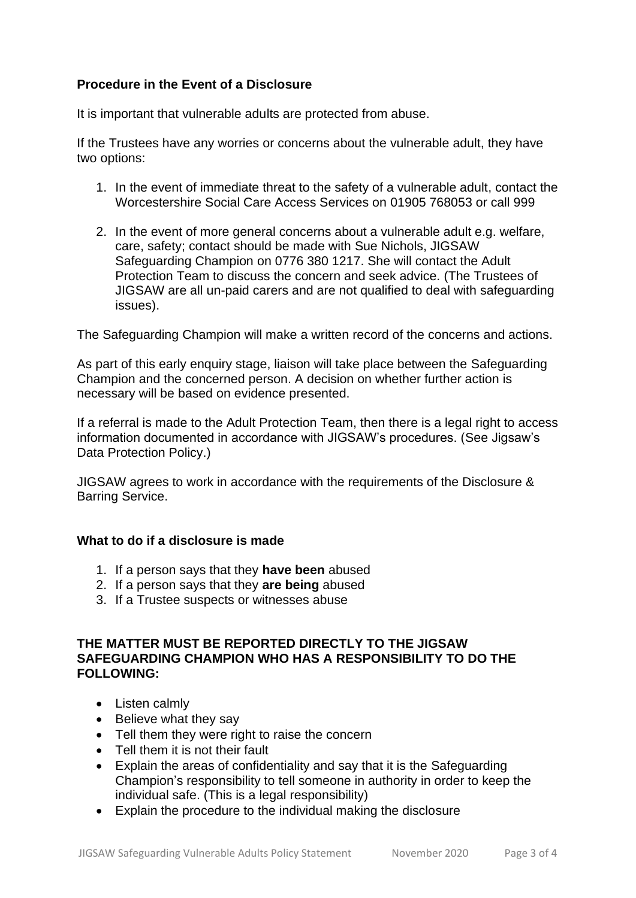### **Procedure in the Event of a Disclosure**

It is important that vulnerable adults are protected from abuse.

If the Trustees have any worries or concerns about the vulnerable adult, they have two options:

- 1. In the event of immediate threat to the safety of a vulnerable adult, contact the Worcestershire Social Care Access Services on 01905 768053 or call 999
- 2. In the event of more general concerns about a vulnerable adult e.g. welfare, care, safety; contact should be made with Sue Nichols, JIGSAW Safeguarding Champion on 0776 380 1217. She will contact the Adult Protection Team to discuss the concern and seek advice. (The Trustees of JIGSAW are all un-paid carers and are not qualified to deal with safeguarding issues).

The Safeguarding Champion will make a written record of the concerns and actions.

As part of this early enquiry stage, liaison will take place between the Safeguarding Champion and the concerned person. A decision on whether further action is necessary will be based on evidence presented.

If a referral is made to the Adult Protection Team, then there is a legal right to access information documented in accordance with JIGSAW's procedures. (See Jigsaw's Data Protection Policy.)

JIGSAW agrees to work in accordance with the requirements of the Disclosure & Barring Service.

#### **What to do if a disclosure is made**

- 1. If a person says that they **have been** abused
- 2. If a person says that they **are being** abused
- 3. If a Trustee suspects or witnesses abuse

#### **THE MATTER MUST BE REPORTED DIRECTLY TO THE JIGSAW SAFEGUARDING CHAMPION WHO HAS A RESPONSIBILITY TO DO THE FOLLOWING:**

- Listen calmly
- Believe what they say
- Tell them they were right to raise the concern
- Tell them it is not their fault
- Explain the areas of confidentiality and say that it is the Safeguarding Champion's responsibility to tell someone in authority in order to keep the individual safe. (This is a legal responsibility)
- Explain the procedure to the individual making the disclosure